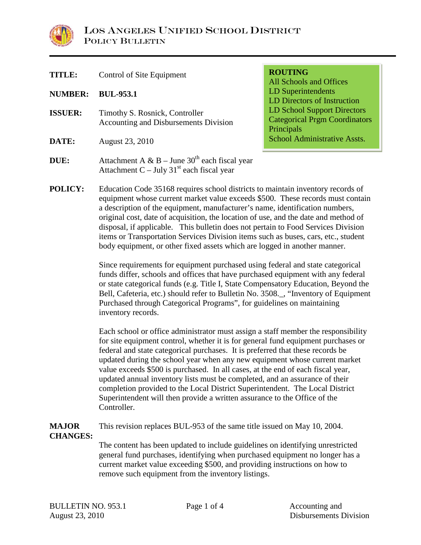

| <b>TITLE:</b>  | Control of Site Equipment                                                                                | <b>ROUTING</b><br><b>All Schools and Offices</b>                                  |  |  |
|----------------|----------------------------------------------------------------------------------------------------------|-----------------------------------------------------------------------------------|--|--|
| <b>NUMBER:</b> | <b>BUL-953.1</b>                                                                                         | LD Superintendents<br>LD Directors of Instruction                                 |  |  |
| <b>ISSUER:</b> | Timothy S. Rosnick, Controller<br><b>Accounting and Disbursements Division</b>                           | LD School Support Directors<br><b>Categorical Prgm Coordinators</b><br>Principals |  |  |
| DATE:          | August 23, 2010                                                                                          | School Administrative Assts.                                                      |  |  |
| <b>DUE:</b>    | Attachment A & B – June $30th$ each fiscal year<br>Attachment C – July 31 <sup>st</sup> each fiscal year |                                                                                   |  |  |
|                |                                                                                                          |                                                                                   |  |  |

**POLICY:** Education Code 35168 requires school districts to maintain inventory records of equipment whose current market value exceeds \$500. These records must contain a description of the equipment, manufacturer's name, identification numbers, original cost, date of acquisition, the location of use, and the date and method of disposal, if applicable. This bulletin does not pertain to Food Services Division items or Transportation Services Division items such as buses, cars, etc., student body equipment, or other fixed assets which are logged in another manner.

> Since requirements for equipment purchased using federal and state categorical funds differ, schools and offices that have purchased equipment with any federal or state categorical funds (e.g. Title I, State Compensatory Education, Beyond the Bell, Cafeteria, etc.) should refer to Bulletin No. 3508.\_, "Inventory of Equipment Purchased through Categorical Programs", for guidelines on maintaining inventory records.

Each school or office administrator must assign a staff member the responsibility for site equipment control, whether it is for general fund equipment purchases or federal and state categorical purchases. It is preferred that these records be updated during the school year when any new equipment whose current market value exceeds \$500 is purchased. In all cases, at the end of each fiscal year, updated annual inventory lists must be completed, and an assurance of their completion provided to the Local District Superintendent. The Local District Superintendent will then provide a written assurance to the Office of the Controller.

**MAJOR** This revision replaces BUL-953 of the same title issued on May 10, 2004. **CHANGES:** 

The content has been updated to include guidelines on identifying unrestricted general fund purchases, identifying when purchased equipment no longer has a current market value exceeding \$500, and providing instructions on how to remove such equipment from the inventory listings.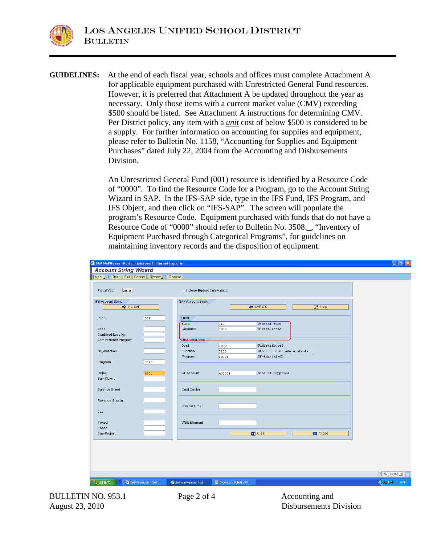**GUIDELINES:** At the end of each fiscal year, schools and offices must complete Attachment A for applicable equipment purchased with Unrestricted General Fund resources. However, it is preferred that Attachment A be updated throughout the year as necessary. Only those items with a current market value (CMV) exceeding \$500 should be listed. See Attachment A instructions for determining CMV. Per District policy, any item with a *unit* cost of below \$500 is considered to be a supply. For further information on accounting for supplies and equipment, please refer to Bulletin No. 1158, "Accounting for Supplies and Equipment Purchases" dated July 22, 2004 from the Accounting and Disbursements Division.

> An Unrestricted General Fund (001) resource is identified by a Resource Code of "0000". To find the Resource Code for a Program, go to the Account String Wizard in SAP. In the IFS-SAP side, type in the IFS Fund, IFS Program, and IFS Object, and then click on "IFS-SAP". The screen will populate the program's Resource Code. Equipment purchased with funds that do not have a Resource Code of "0000" should refer to Bulletin No. 3508.\_, "Inventory of Equipment Purchased through Categorical Programs", for guidelines on maintaining inventory records and the disposition of equipment.

|           | Include Budget Only Values |                                                                                   |                        |                                                   |                              |
|-----------|----------------------------|-----------------------------------------------------------------------------------|------------------------|---------------------------------------------------|------------------------------|
|           |                            |                                                                                   |                        |                                                   |                              |
| → IFS-SAP | SAP Account String         |                                                                                   | ← SAP-IFS              | <b>2</b> Help                                     |                              |
| 001       | Fund                       |                                                                                   |                        |                                                   |                              |
|           | Fund                       | 010                                                                               | General Fund           |                                                   |                              |
|           |                            |                                                                                   |                        |                                                   |                              |
|           |                            |                                                                                   |                        |                                                   |                              |
|           |                            |                                                                                   |                        |                                                   |                              |
|           | Function                   | 7200                                                                              |                        |                                                   |                              |
|           | Program                    | 10025                                                                             | GF-Adm-Sal/OE          |                                                   |                              |
| 0025      |                            |                                                                                   |                        |                                                   |                              |
|           |                            |                                                                                   |                        |                                                   |                              |
|           |                            |                                                                                   |                        |                                                   |                              |
|           |                            |                                                                                   |                        |                                                   |                              |
|           | Cost Center                |                                                                                   |                        |                                                   |                              |
|           |                            |                                                                                   |                        |                                                   |                              |
|           |                            |                                                                                   |                        |                                                   |                              |
|           |                            |                                                                                   |                        |                                                   |                              |
|           |                            |                                                                                   |                        |                                                   |                              |
|           | <b>WBS Element</b>         |                                                                                   |                        |                                                   |                              |
|           |                            |                                                                                   |                        |                                                   |                              |
|           |                            |                                                                                   | $\bullet$ Clear        | <b>Ed</b> Close                                   |                              |
|           |                            |                                                                                   |                        |                                                   |                              |
|           |                            |                                                                                   |                        |                                                   |                              |
|           |                            |                                                                                   |                        |                                                   |                              |
|           |                            |                                                                                   |                        |                                                   |                              |
|           | 4501                       | Resource<br><b>Functional Area</b><br>Goal<br><b>GL Account</b><br>Internal Order | 0000<br>0000<br>430001 | Unrestricted<br>Undistributed<br>General Supplies | Other General Administration |

BULLETIN NO. 953.1 **Page 2 of 4** Accounting and

August 23, 2010 Disbursements Division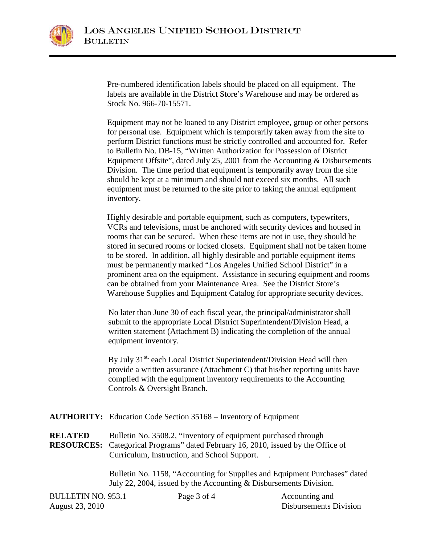

Pre-numbered identification labels should be placed on all equipment. The labels are available in the District Store's Warehouse and may be ordered as Stock No. 966-70-15571.

Equipment may not be loaned to any District employee, group or other persons for personal use. Equipment which is temporarily taken away from the site to perform District functions must be strictly controlled and accounted for. Refer to Bulletin No. DB-15, "Written Authorization for Possession of District Equipment Offsite", dated July 25, 2001 from the Accounting & Disbursements Division. The time period that equipment is temporarily away from the site should be kept at a minimum and should not exceed six months. All such equipment must be returned to the site prior to taking the annual equipment inventory.

Highly desirable and portable equipment, such as computers, typewriters, VCRs and televisions, must be anchored with security devices and housed in rooms that can be secured. When these items are not in use, they should be stored in secured rooms or locked closets. Equipment shall not be taken home to be stored. In addition, all highly desirable and portable equipment items must be permanently marked "Los Angeles Unified School District" in a prominent area on the equipment. Assistance in securing equipment and rooms can be obtained from your Maintenance Area. See the District Store's Warehouse Supplies and Equipment Catalog for appropriate security devices.

No later than June 30 of each fiscal year, the principal/administrator shall submit to the appropriate Local District Superintendent/Division Head, a written statement (Attachment B) indicating the completion of the annual equipment inventory.

By July 31<sup>st,</sup> each Local District Superintendent/Division Head will then provide a written assurance (Attachment C) that his/her reporting units have complied with the equipment inventory requirements to the Accounting Controls & Oversight Branch.

**AUTHORITY:** Education Code Section 35168 – Inventory of Equipment

**RELATED** Bulletin No. 3508.2, "Inventory of equipment purchased through **RESOURCES:** Categorical Programs" dated February 16, 2010, issued by the Office of Curriculum, Instruction, and School Support. .

> Bulletin No. 1158, "Accounting for Supplies and Equipment Purchases" dated July 22, 2004, issued by the Accounting & Disbursements Division.

| <b>BULLETIN NO. 953.1</b> | Page 3 of 4 | Accounting and                |
|---------------------------|-------------|-------------------------------|
| August 23, 2010           |             | <b>Disbursements Division</b> |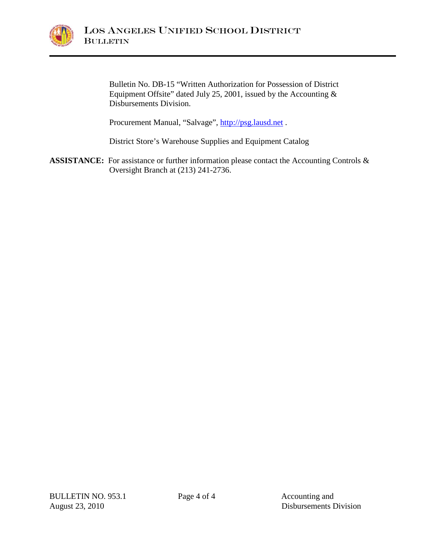

Bulletin No. DB-15 "Written Authorization for Possession of District Equipment Offsite" dated July 25, 2001, issued by the Accounting  $\&$ Disbursements Division.

Procurement Manual, "Salvage", [http://psg.lausd.net](http://psg.lausd.net/).

District Store's Warehouse Supplies and Equipment Catalog

ASSISTANCE: For assistance or further information please contact the Accounting Controls & Oversight Branch at (213) 241-2736.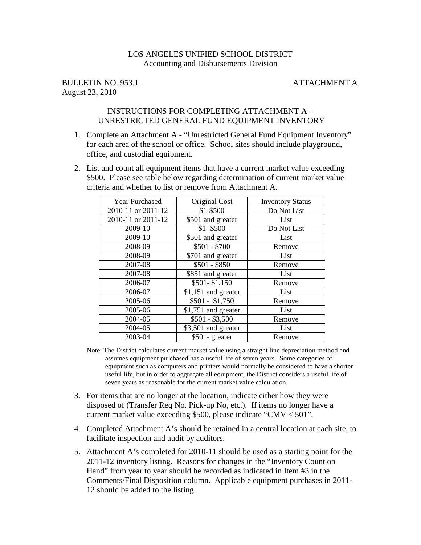# LOS ANGELES UNIFIED SCHOOL DISTRICT Accounting and Disbursements Division

BULLETIN NO. 953.1 ATTACHMENT A August 23, 2010

#### INSTRUCTIONS FOR COMPLETING ATTACHMENT A – UNRESTRICTED GENERAL FUND EQUIPMENT INVENTORY

- 1. Complete an Attachment A "Unrestricted General Fund Equipment Inventory" for each area of the school or office. School sites should include playground, office, and custodial equipment.
- 2. List and count all equipment items that have a current market value exceeding \$500. Please see table below regarding determination of current market value criteria and whether to list or remove from Attachment A.

| <b>Year Purchased</b> | Original Cost       | <b>Inventory Status</b> |
|-----------------------|---------------------|-------------------------|
| 2010-11 or 2011-12    | \$1-\$500           | Do Not List             |
| 2010-11 or 2011-12    | \$501 and greater   | List                    |
| 2009-10               | $$1 - $500$         | Do Not List             |
| 2009-10               | \$501 and greater   | List                    |
| 2008-09               | $$501 - $700$       | Remove                  |
| 2008-09               | \$701 and greater   | List                    |
| 2007-08               | $$501 - $850$       | Remove                  |
| 2007-08               | \$851 and greater   | List                    |
| 2006-07               | $$501 - $1,150$     | Remove                  |
| 2006-07               | \$1,151 and greater | List                    |
| 2005-06               | $$501 - $1,750$     | Remove                  |
| 2005-06               | \$1,751 and greater | List                    |
| 2004-05               | $$501 - $3,500$     | Remove                  |
| 2004-05               | \$3,501 and greater | List                    |
| 2003-04               | \$501-greater       | Remove                  |

Note: The District calculates current market value using a straight line depreciation method and assumes equipment purchased has a useful life of seven years. Some categories of equipment such as computers and printers would normally be considered to have a shorter useful life, but in order to aggregate all equipment, the District considers a useful life of seven years as reasonable for the current market value calculation.

- 3. For items that are no longer at the location, indicate either how they were disposed of (Transfer Req No. Pick-up No, etc.). If items no longer have a current market value exceeding \$500, please indicate "CMV < 501".
- 4. Completed Attachment A's should be retained in a central location at each site, to facilitate inspection and audit by auditors.
- 5. Attachment A's completed for 2010-11 should be used as a starting point for the 2011-12 inventory listing. Reasons for changes in the "Inventory Count on Hand" from year to year should be recorded as indicated in Item #3 in the Comments/Final Disposition column. Applicable equipment purchases in 2011- 12 should be added to the listing.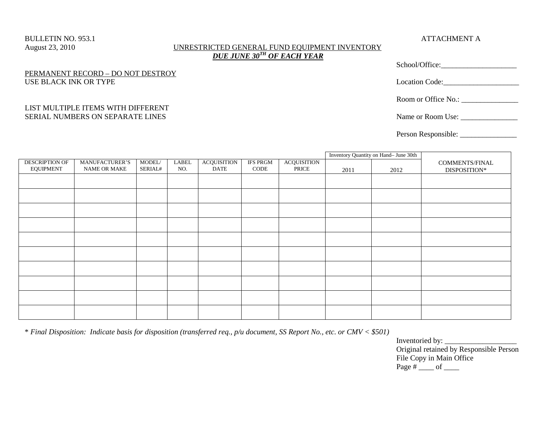#### BULLETIN NO. 953.1 ATTACHMENT A August 23, 2010 UNRESTRICTED GENERAL FUND EQUIPMENT INVENTORY *DUE JUNE 30TH OF EACH YEAR*

### PERMANENT RECORD – DO NOT DESTROY USE BLACK INK OR TYPE

#### LIST MULTIPLE ITEMS WITH DIFFERENT SERIAL NUMBERS ON SEPARATE LINES

| Location Code:    |  |
|-------------------|--|
|                   |  |
| Name or Room Use: |  |

Person Responsible: \_\_\_\_\_\_\_\_\_\_\_\_\_\_\_

|                                           |                                       |                   |              |                            |                         |                             |      | Inventory Quantity on Hand- June 30th |                                |
|-------------------------------------------|---------------------------------------|-------------------|--------------|----------------------------|-------------------------|-----------------------------|------|---------------------------------------|--------------------------------|
| <b>DESCRIPTION OF</b><br><b>EQUIPMENT</b> | MANUFACTURER'S<br><b>NAME OR MAKE</b> | MODEL/<br>SERIAL# | LABEL<br>NO. | <b>ACQUISITION</b><br>DATE | <b>IFS PRGM</b><br>CODE | <b>ACQUISITION</b><br>PRICE | 2011 | 2012                                  | COMMENTS/FINAL<br>DISPOSITION* |
|                                           |                                       |                   |              |                            |                         |                             |      |                                       |                                |
|                                           |                                       |                   |              |                            |                         |                             |      |                                       |                                |
|                                           |                                       |                   |              |                            |                         |                             |      |                                       |                                |
|                                           |                                       |                   |              |                            |                         |                             |      |                                       |                                |
|                                           |                                       |                   |              |                            |                         |                             |      |                                       |                                |
|                                           |                                       |                   |              |                            |                         |                             |      |                                       |                                |
|                                           |                                       |                   |              |                            |                         |                             |      |                                       |                                |
|                                           |                                       |                   |              |                            |                         |                             |      |                                       |                                |
|                                           |                                       |                   |              |                            |                         |                             |      |                                       |                                |
|                                           |                                       |                   |              |                            |                         |                             |      |                                       |                                |

\* *Final Disposition: Indicate basis for disposition (transferred req., p/u document, SS Report No., etc. or CMV < \$501)*

Inventoried by: \_\_\_\_\_\_\_\_\_\_\_\_\_\_\_\_\_\_\_ Original retained by Responsible Person File Copy in Main Office Page  $\#$  \_\_\_\_\_\_ of \_\_\_\_\_\_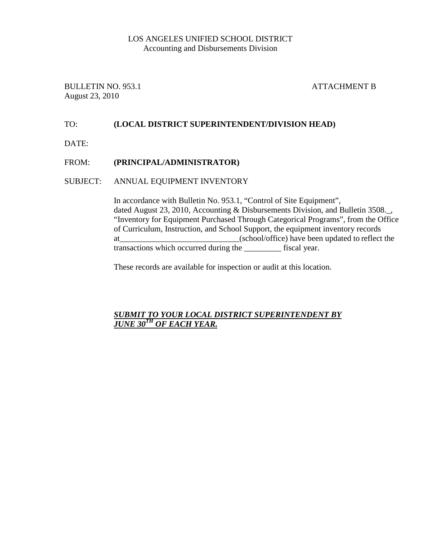### LOS ANGELES UNIFIED SCHOOL DISTRICT Accounting and Disbursements Division

BULLETIN NO. 953.1 ATTACHMENT B August 23, 2010

# TO: **(LOCAL DISTRICT SUPERINTENDENT/DIVISION HEAD)**

DATE:

### FROM: **(PRINCIPAL/ADMINISTRATOR)**

### SUBJECT: ANNUAL EQUIPMENT INVENTORY

In accordance with Bulletin No. 953.1, "Control of Site Equipment", dated August 23, 2010, Accounting & Disbursements Division, and Bulletin 3508. "Inventory for Equipment Purchased Through Categorical Programs", from the Office of Curriculum, Instruction, and School Support, the equipment inventory records at\_\_\_\_\_\_\_\_\_\_\_\_\_\_\_\_\_\_\_\_\_\_\_\_\_\_\_\_\_(school/office) have been updated to reflect the transactions which occurred during the \_\_\_\_\_\_\_\_\_ fiscal year.

These records are available for inspection or audit at this location.

# *SUBMIT TO YOUR LOCAL DISTRICT SUPERINTENDENT BY JUNE 30TH OF EACH YEAR.*